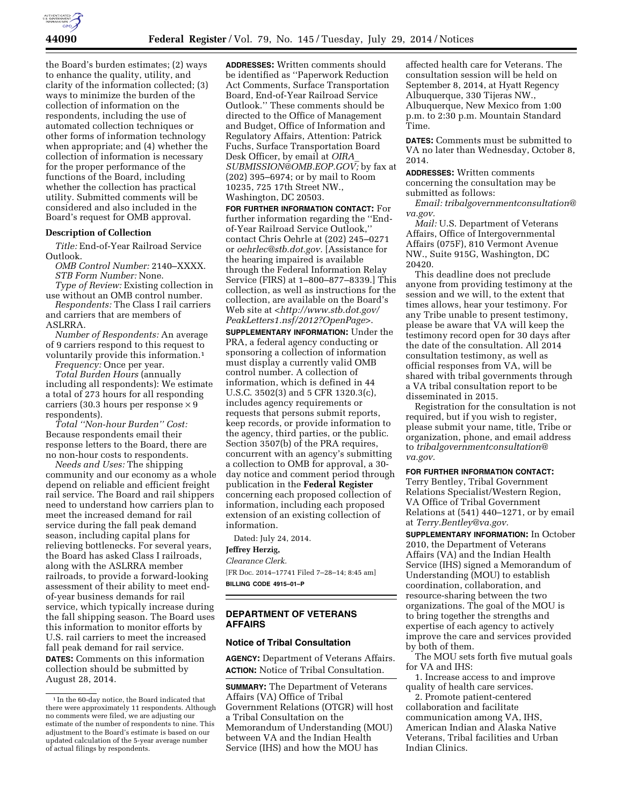

the Board's burden estimates; (2) ways to enhance the quality, utility, and clarity of the information collected; (3) ways to minimize the burden of the collection of information on the respondents, including the use of automated collection techniques or other forms of information technology when appropriate; and (4) whether the collection of information is necessary for the proper performance of the functions of the Board, including whether the collection has practical utility. Submitted comments will be considered and also included in the Board's request for OMB approval.

### **Description of Collection**

*Title:* End-of-Year Railroad Service Outlook.

*OMB Control Number:* 2140–XXXX. *STB Form Number:* None.

*Type of Review:* Existing collection in use without an OMB control number.

*Respondents:* The Class I rail carriers and carriers that are members of ASLRRA.

*Number of Respondents:* An average of 9 carriers respond to this request to voluntarily provide this information.1

*Frequency:* Once per year. *Total Burden Hours* (annually including all respondents): We estimate a total of 273 hours for all responding carriers (30.3 hours per response  $\times$  9 respondents).

*Total ''Non-hour Burden'' Cost:*  Because respondents email their response letters to the Board, there are no non-hour costs to respondents.

*Needs and Uses:* The shipping community and our economy as a whole depend on reliable and efficient freight rail service. The Board and rail shippers need to understand how carriers plan to meet the increased demand for rail service during the fall peak demand season, including capital plans for relieving bottlenecks. For several years, the Board has asked Class I railroads, along with the ASLRRA member railroads, to provide a forward-looking assessment of their ability to meet endof-year business demands for rail service, which typically increase during the fall shipping season. The Board uses this information to monitor efforts by U.S. rail carriers to meet the increased fall peak demand for rail service.

**DATES:** Comments on this information collection should be submitted by August 28, 2014.

**ADDRESSES:** Written comments should be identified as ''Paperwork Reduction Act Comments, Surface Transportation Board, End-of-Year Railroad Service Outlook.'' These comments should be directed to the Office of Management and Budget, Office of Information and Regulatory Affairs, Attention: Patrick Fuchs, Surface Transportation Board Desk Officer, by email at *[OIRA](mailto:OIRA_SUBMISSION@OMB.EOP.GOV)*\_ *[SUBMISSION@OMB.EOP.GOV;](mailto:OIRA_SUBMISSION@OMB.EOP.GOV)* by fax at (202) 395–6974; or by mail to Room 10235, 725 17th Street NW., Washington, DC 20503.

**FOR FURTHER INFORMATION CONTACT:** For further information regarding the ''Endof-Year Railroad Service Outlook,'' contact Chris Oehrle at (202) 245–0271 or *[oehrlec@stb.dot.gov.](mailto:oehrlec@stb.dot.gov)* [Assistance for the hearing impaired is available through the Federal Information Relay Service (FIRS) at 1–800–877–8339.] This collection, as well as instructions for the collection, are available on the Board's Web site at <*[http://www.stb.dot.gov/](http://www.stb.dot.gov/PeakLetters1.nsf/2012?OpenPage) [PeakLetters1.nsf/2012?OpenPage](http://www.stb.dot.gov/PeakLetters1.nsf/2012?OpenPage)*>.

**SUPPLEMENTARY INFORMATION:** Under the PRA, a federal agency conducting or sponsoring a collection of information must display a currently valid OMB control number. A collection of information, which is defined in 44 U.S.C. 3502(3) and 5 CFR 1320.3(c), includes agency requirements or requests that persons submit reports, keep records, or provide information to the agency, third parties, or the public. Section 3507(b) of the PRA requires, concurrent with an agency's submitting a collection to OMB for approval, a 30 day notice and comment period through publication in the **Federal Register**  concerning each proposed collection of information, including each proposed extension of an existing collection of information.

Dated: July 24, 2014. **Jeffrey Herzig,**  *Clearance Clerk.*  [FR Doc. 2014–17741 Filed 7–28–14; 8:45 am] **BILLING CODE 4915–01–P** 

## **DEPARTMENT OF VETERANS AFFAIRS**

#### **Notice of Tribal Consultation**

**AGENCY:** Department of Veterans Affairs. **ACTION:** Notice of Tribal Consultation.

**SUMMARY:** The Department of Veterans Affairs (VA) Office of Tribal Government Relations (OTGR) will host a Tribal Consultation on the Memorandum of Understanding (MOU) between VA and the Indian Health Service (IHS) and how the MOU has

affected health care for Veterans. The consultation session will be held on September 8, 2014, at Hyatt Regency Albuquerque, 330 Tijeras NW., Albuquerque, New Mexico from 1:00 p.m. to 2:30 p.m. Mountain Standard Time.

**DATES:** Comments must be submitted to VA no later than Wednesday, October 8, 2014.

**ADDRESSES:** Written comments concerning the consultation may be submitted as follows:

*Email: [tribalgovernmentconsultation@](mailto:tribalgovernmentconsultation@va.gov) [va.gov.](mailto:tribalgovernmentconsultation@va.gov)* 

*Mail:* U.S. Department of Veterans Affairs, Office of Intergovernmental Affairs (075F), 810 Vermont Avenue NW., Suite 915G, Washington, DC 20420.

This deadline does not preclude anyone from providing testimony at the session and we will, to the extent that times allows, hear your testimony. For any Tribe unable to present testimony, please be aware that VA will keep the testimony record open for 30 days after the date of the consultation. All 2014 consultation testimony, as well as official responses from VA, will be shared with tribal governments through a VA tribal consultation report to be disseminated in 2015.

Registration for the consultation is not required, but if you wish to register, please submit your name, title, Tribe or organization, phone, and email address to *[tribalgovernmentconsultation@](mailto:tribalgovernmentconsultation@va.gov) [va.gov.](mailto:tribalgovernmentconsultation@va.gov)* 

#### **FOR FURTHER INFORMATION CONTACT:**

Terry Bentley, Tribal Government Relations Specialist/Western Region, VA Office of Tribal Government Relations at (541) 440–1271, or by email at *[Terry.Bentley@va.gov.](mailto:Terry.Bentley@va.gov)* 

**SUPPLEMENTARY INFORMATION:** In October 2010, the Department of Veterans Affairs (VA) and the Indian Health Service (IHS) signed a Memorandum of Understanding (MOU) to establish coordination, collaboration, and resource-sharing between the two organizations. The goal of the MOU is to bring together the strengths and expertise of each agency to actively improve the care and services provided by both of them.

The MOU sets forth five mutual goals for VA and IHS:

1. Increase access to and improve quality of health care services.

2. Promote patient-centered collaboration and facilitate communication among VA, IHS, American Indian and Alaska Native Veterans, Tribal facilities and Urban Indian Clinics.

<sup>1</sup> In the 60-day notice, the Board indicated that there were approximately 11 respondents. Although no comments were filed, we are adjusting our estimate of the number of respondents to nine. This adjustment to the Board's estimate is based on our updated calculation of the 5-year average number of actual filings by respondents.